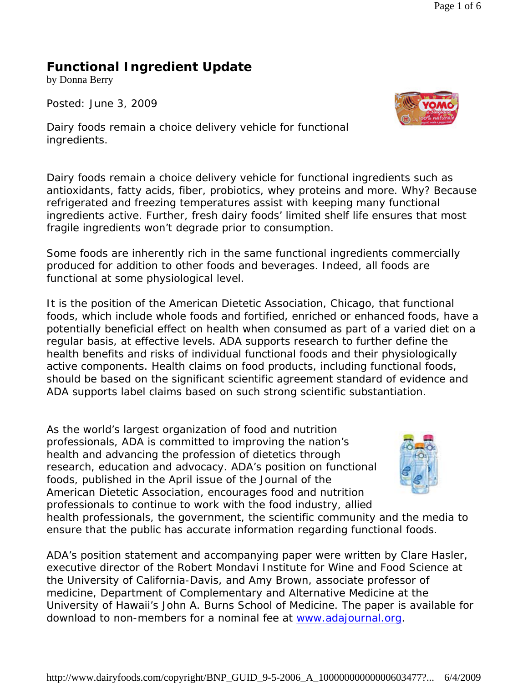## **Functional Ingredient Update**

by Donna Berry

*Posted: June 3, 2009*



*Dairy foods remain a choice delivery vehicle for functional ingredients.* 

Dairy foods remain a choice delivery vehicle for functional ingredients such as antioxidants, fatty acids, fiber, probiotics, whey proteins and more. Why? Because refrigerated and freezing temperatures assist with keeping many functional ingredients active. Further, fresh dairy foods' limited shelf life ensures that most fragile ingredients won't degrade prior to consumption.

Some foods are inherently rich in the same functional ingredients commercially produced for addition to other foods and beverages. Indeed, all foods are functional at some physiological level.

It is the position of the American Dietetic Association, Chicago, that functional foods, which include whole foods and fortified, enriched or enhanced foods, have a potentially beneficial effect on health when consumed as part of a varied diet on a regular basis, at effective levels. ADA supports research to further define the health benefits and risks of individual functional foods and their physiologically active components. Health claims on food products, including functional foods, should be based on the significant scientific agreement standard of evidence and ADA supports label claims based on such strong scientific substantiation.

As the world's largest organization of food and nutrition professionals, ADA is committed to improving the nation's health and advancing the profession of dietetics through research, education and advocacy. ADA's position on functional foods, published in the April issue of the Journal of the American Dietetic Association, encourages food and nutrition professionals to continue to work with the food industry, allied



health professionals, the government, the scientific community and the media to ensure that the public has accurate information regarding functional foods.

ADA's position statement and accompanying paper were written by Clare Hasler, executive director of the Robert Mondavi Institute for Wine and Food Science at the University of California-Davis, and Amy Brown, associate professor of medicine, Department of Complementary and Alternative Medicine at the University of Hawaii's John A. Burns School of Medicine. The paper is available for download to non-members for a nominal fee at www.adajournal.org.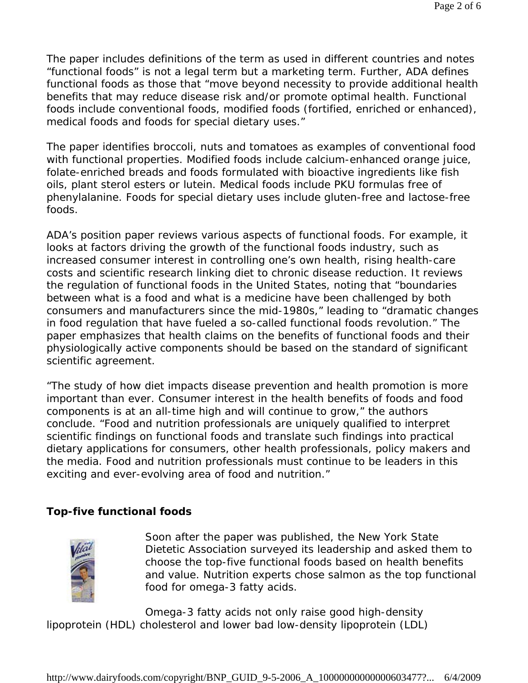The paper includes definitions of the term as used in different countries and notes "functional foods" is not a legal term but a marketing term. Further, ADA defines functional foods as those that "move beyond necessity to provide additional health benefits that may reduce disease risk and/or promote optimal health. Functional foods include conventional foods, modified foods (fortified, enriched or enhanced), medical foods and foods for special dietary uses."

The paper identifies broccoli, nuts and tomatoes as examples of conventional food with functional properties. Modified foods include calcium-enhanced orange juice, folate-enriched breads and foods formulated with bioactive ingredients like fish oils, plant sterol esters or lutein. Medical foods include PKU formulas free of phenylalanine. Foods for special dietary uses include gluten-free and lactose-free foods.

ADA's position paper reviews various aspects of functional foods. For example, it looks at factors driving the growth of the functional foods industry, such as increased consumer interest in controlling one's own health, rising health-care costs and scientific research linking diet to chronic disease reduction. It reviews the regulation of functional foods in the United States, noting that "boundaries between what is a food and what is a medicine have been challenged by both consumers and manufacturers since the mid-1980s," leading to "dramatic changes in food regulation that have fueled a so-called functional foods revolution." The paper emphasizes that health claims on the benefits of functional foods and their physiologically active components should be based on the standard of significant scientific agreement.

"The study of how diet impacts disease prevention and health promotion is more important than ever. Consumer interest in the health benefits of foods and food components is at an all-time high and will continue to grow," the authors conclude. "Food and nutrition professionals are uniquely qualified to interpret scientific findings on functional foods and translate such findings into practical dietary applications for consumers, other health professionals, policy makers and the media. Food and nutrition professionals must continue to be leaders in this exciting and ever-evolving area of food and nutrition."

## **Top-five functional foods**



Soon after the paper was published, the New York State Dietetic Association surveyed its leadership and asked them to choose the top-five functional foods based on health benefits and value. Nutrition experts chose salmon as the top functional food for omega-3 fatty acids.

Omega-3 fatty acids not only raise good high-density lipoprotein (HDL) cholesterol and lower bad low-density lipoprotein (LDL)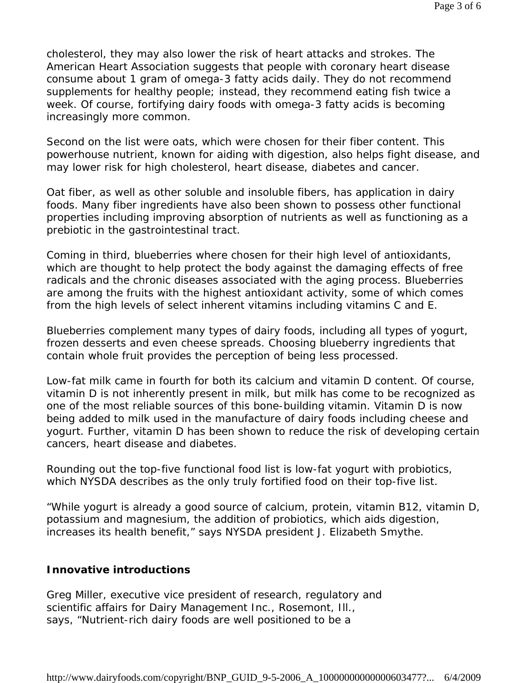cholesterol, they may also lower the risk of heart attacks and strokes. The American Heart Association suggests that people with coronary heart disease consume about 1 gram of omega-3 fatty acids daily. They do not recommend supplements for healthy people; instead, they recommend eating fish twice a week. Of course, fortifying dairy foods with omega-3 fatty acids is becoming increasingly more common.

Second on the list were oats, which were chosen for their fiber content. This powerhouse nutrient, known for aiding with digestion, also helps fight disease, and may lower risk for high cholesterol, heart disease, diabetes and cancer.

Oat fiber, as well as other soluble and insoluble fibers, has application in dairy foods. Many fiber ingredients have also been shown to possess other functional properties including improving absorption of nutrients as well as functioning as a prebiotic in the gastrointestinal tract.

Coming in third, blueberries where chosen for their high level of antioxidants, which are thought to help protect the body against the damaging effects of free radicals and the chronic diseases associated with the aging process. Blueberries are among the fruits with the highest antioxidant activity, some of which comes from the high levels of select inherent vitamins including vitamins C and E.

Blueberries complement many types of dairy foods, including all types of yogurt, frozen desserts and even cheese spreads. Choosing blueberry ingredients that contain whole fruit provides the perception of being less processed.

Low-fat milk came in fourth for both its calcium and vitamin D content. Of course, vitamin D is not inherently present in milk, but milk has come to be recognized as one of the most reliable sources of this bone-building vitamin. Vitamin D is now being added to milk used in the manufacture of dairy foods including cheese and yogurt. Further, vitamin D has been shown to reduce the risk of developing certain cancers, heart disease and diabetes.

Rounding out the top-five functional food list is low-fat yogurt with probiotics, which NYSDA describes as the only truly fortified food on their top-five list.

"While yogurt is already a good source of calcium, protein, vitamin B12, vitamin D, potassium and magnesium, the addition of probiotics, which aids digestion, increases its health benefit," says NYSDA president J. Elizabeth Smythe.

## **Innovative introductions**

Greg Miller, executive vice president of research, regulatory and scientific affairs for Dairy Management Inc., Rosemont, Ill., says, "Nutrient-rich dairy foods are well positioned to be a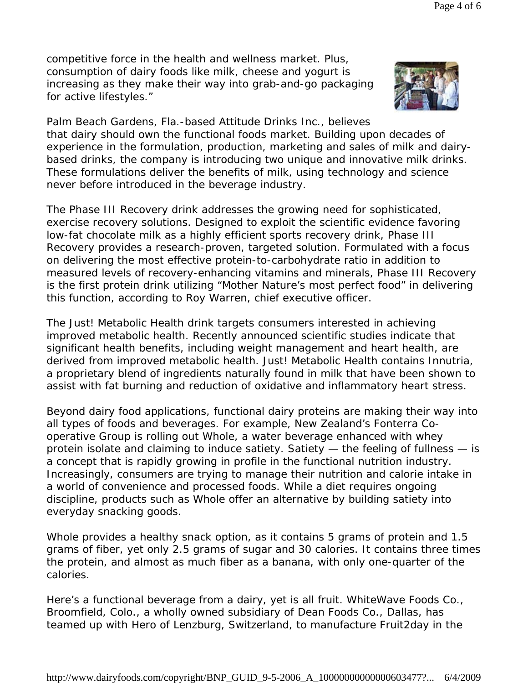competitive force in the health and wellness market. Plus, consumption of dairy foods like milk, cheese and yogurt is increasing as they make their way into grab-and-go packaging for active lifestyles."



Palm Beach Gardens, Fla.-based Attitude Drinks Inc., believes that dairy should own the functional foods market. Building upon decades of experience in the formulation, production, marketing and sales of milk and dairybased drinks, the company is introducing two unique and innovative milk drinks. These formulations deliver the benefits of milk, using technology and science never before introduced in the beverage industry.

The Phase III Recovery drink addresses the growing need for sophisticated, exercise recovery solutions. Designed to exploit the scientific evidence favoring low-fat chocolate milk as a highly efficient sports recovery drink, Phase III Recovery provides a research-proven, targeted solution. Formulated with a focus on delivering the most effective protein-to-carbohydrate ratio in addition to measured levels of recovery-enhancing vitamins and minerals, Phase III Recovery is the first protein drink utilizing "Mother Nature's most perfect food" in delivering this function, according to Roy Warren, chief executive officer.

The Just! Metabolic Health drink targets consumers interested in achieving improved metabolic health. Recently announced scientific studies indicate that significant health benefits, including weight management and heart health, are derived from improved metabolic health. Just! Metabolic Health contains Innutria, a proprietary blend of ingredients naturally found in milk that have been shown to assist with fat burning and reduction of oxidative and inflammatory heart stress.

Beyond dairy food applications, functional dairy proteins are making their way into all types of foods and beverages. For example, New Zealand's Fonterra Cooperative Group is rolling out Whole, a water beverage enhanced with whey protein isolate and claiming to induce satiety. Satiety — the feeling of fullness — is a concept that is rapidly growing in profile in the functional nutrition industry. Increasingly, consumers are trying to manage their nutrition and calorie intake in a world of convenience and processed foods. While a diet requires ongoing discipline, products such as Whole offer an alternative by building satiety into everyday snacking goods.

Whole provides a healthy snack option, as it contains 5 grams of protein and 1.5 grams of fiber, yet only 2.5 grams of sugar and 30 calories. It contains three times the protein, and almost as much fiber as a banana, with only one-quarter of the calories.

Here's a functional beverage from a dairy, yet is all fruit. WhiteWave Foods Co., Broomfield, Colo., a wholly owned subsidiary of Dean Foods Co., Dallas, has teamed up with Hero of Lenzburg, Switzerland, to manufacture Fruit2day in the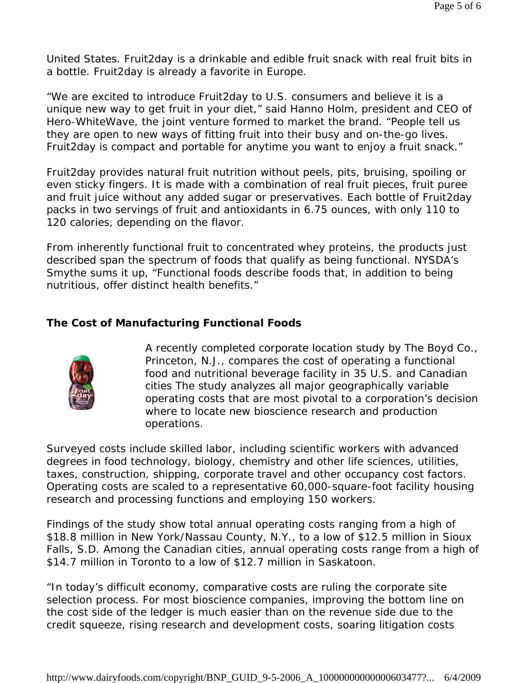United States. Fruit2day is a drinkable and edible fruit snack with real fruit bits in a bottle. Fruit2day is already a favorite in Europe.

"We are excited to introduce Fruit2day to U.S. consumers and believe it is a unique new way to get fruit in your diet," said Hanno Holm, president and CEO of Hero-WhiteWave, the joint venture formed to market the brand. "People tell us they are open to new ways of fitting fruit into their busy and on-the-go lives. Fruit2day is compact and portable for anytime you want to enjoy a fruit snack."

Fruit2day provides natural fruit nutrition without peels, pits, bruising, spoiling or even sticky fingers. It is made with a combination of real fruit pieces, fruit puree and fruit juice without any added sugar or preservatives. Each bottle of Fruit2day packs in two servings of fruit and antioxidants in 6.75 ounces, with only 110 to 120 calories, depending on the flavor.

From inherently functional fruit to concentrated whey proteins, the products just described span the spectrum of foods that qualify as being functional. NYSDA's Smythe sums it up, "Functional foods describe foods that, in addition to being nutritious, offer distinct health benefits."

## **The Cost of Manufacturing Functional Foods**



A recently completed corporate location study by The Boyd Co., Princeton, N.J., compares the cost of operating a functional food and nutritional beverage facility in 35 U.S. and Canadian cities The study analyzes all major geographically variable operating costs that are most pivotal to a corporation's decision where to locate new bioscience research and production operations.

Surveyed costs include skilled labor, including scientific workers with advanced degrees in food technology, biology, chemistry and other life sciences, utilities, taxes, construction, shipping, corporate travel and other occupancy cost factors. Operating costs are scaled to a representative 60,000-square-foot facility housing research and processing functions and employing 150 workers.

Findings of the study show total annual operating costs ranging from a high of \$18.8 million in New York/Nassau County, N.Y., to a low of \$12.5 million in Sioux Falls, S.D. Among the Canadian cities, annual operating costs range from a high of \$14.7 million in Toronto to a low of \$12.7 million in Saskatoon.

"In today's difficult economy, comparative costs are ruling the corporate site selection process. For most bioscience companies, improving the bottom line on the cost side of the ledger is much easier than on the revenue side due to the credit squeeze, rising research and development costs, soaring litigation costs